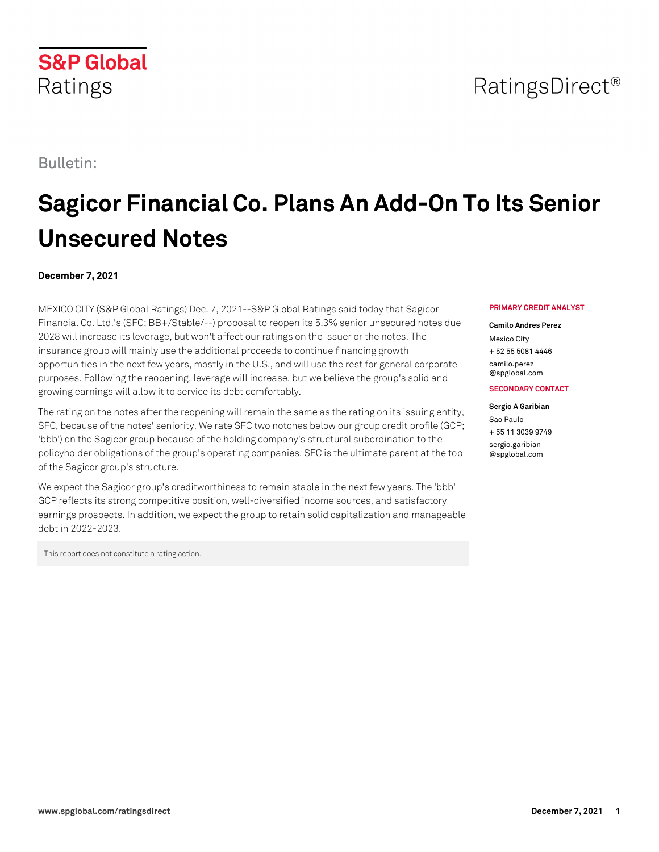Bulletin:

# **Sagicor Financial Co. Plans An Add-On To Its Senior Unsecured Notes**

# **December 7, 2021**

MEXICO CITY (S&P Global Ratings) Dec. 7, 2021--S&P Global Ratings said today that Sagicor Financial Co. Ltd.'s (SFC; BB+/Stable/--) proposal to reopen its 5.3% senior unsecured notes due 2028 will increase its leverage, but won't affect our ratings on the issuer or the notes. The insurance group will mainly use the additional proceeds to continue financing growth opportunities in the next few years, mostly in the U.S., and will use the rest for general corporate purposes. Following the reopening, leverage will increase, but we believe the group's solid and growing earnings will allow it to service its debt comfortably.

The rating on the notes after the reopening will remain the same as the rating on its issuing entity, SFC, because of the notes' seniority. We rate SFC two notches below our group credit profile (GCP; 'bbb') on the Sagicor group because of the holding company's structural subordination to the policyholder obligations of the group's operating companies. SFC is the ultimate parent at the top of the Sagicor group's structure.

We expect the Sagicor group's creditworthiness to remain stable in the next few years. The 'bbb' GCP reflects its strong competitive position, well-diversified income sources, and satisfactory earnings prospects. In addition, we expect the group to retain solid capitalization and manageable debt in 2022-2023.

This report does not constitute a rating action.

### **PRIMARY CREDIT ANALYST**

### **Camilo Andres Perez**

Mexico City + 52 55 5081 4446 [camilo.perez](mailto: camilo.perez@spglobal.com) [@spglobal.com](mailto: camilo.perez@spglobal.com)

## **SECONDARY CONTACT**

#### **Sergio A Garibian**

Sao Paulo + 55 11 3039 9749 [sergio.garibian](mailto: sergio.garibian@spglobal.com) [@spglobal.com](mailto: sergio.garibian@spglobal.com)



RatingsDirect<sup>®</sup>